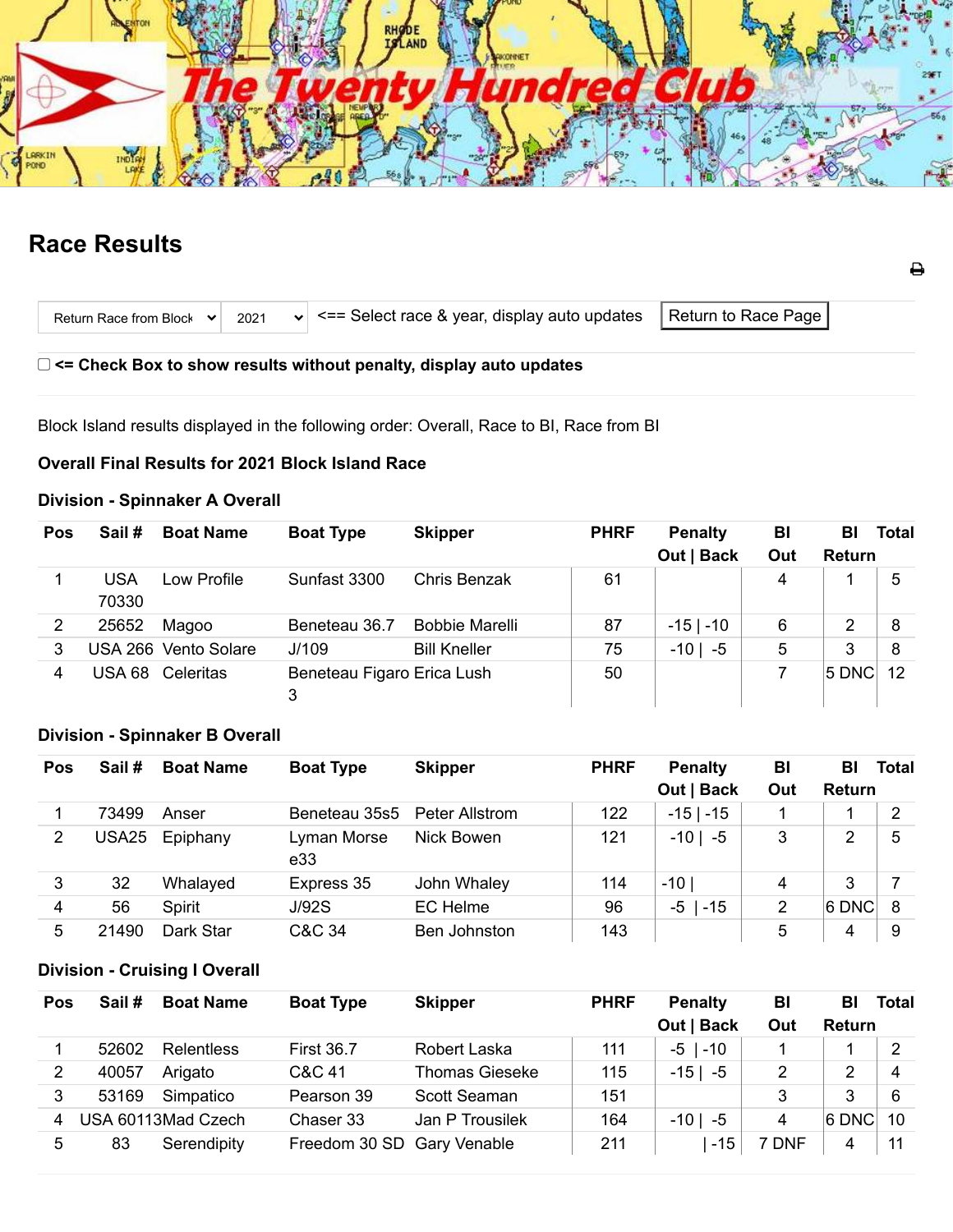

# **Race Results**

| Return Race from Block $\vee$ 2021 |  | $\left\vert \mathbf{v}\right\vert$ <== Select race & year, display auto updates $\left\vert \right\vert$ Return to Race Page $\left\vert \right\vert$ |  |  |
|------------------------------------|--|-------------------------------------------------------------------------------------------------------------------------------------------------------|--|--|
|------------------------------------|--|-------------------------------------------------------------------------------------------------------------------------------------------------------|--|--|

₿

**<= Check Box to show results without penalty, display auto updates**

Block Island results displayed in the following order: Overall, Race to BI, Race from BI

### **Overall Final Results for 2021 Block Island Race**

# **Division - Spinnaker A Overall**

| Pos            | Sail#               | <b>Boat Name</b>     | <b>Boat Type</b>                | <b>Skipper</b>        | <b>PHRF</b> | <b>Penalty</b><br>Out   Back | BI<br>Out | BL<br><b>Return</b> | <b>Total</b> |
|----------------|---------------------|----------------------|---------------------------------|-----------------------|-------------|------------------------------|-----------|---------------------|--------------|
|                | <b>USA</b><br>70330 | Low Profile          | Sunfast 3300                    | <b>Chris Benzak</b>   | 61          |                              | 4         |                     | 5            |
| $\overline{2}$ | 25652               | Magoo                | Beneteau 36.7                   | <b>Bobbie Marelli</b> | 87          | $-15$   $-10$                | 6         | 2                   | 8            |
| 3              |                     | USA 266 Vento Solare | J/109                           | <b>Bill Kneller</b>   | 75          | $-10$   $-5$                 | 5         | 3                   | 8            |
| 4              | USA 68              | Celeritas            | Beneteau Figaro Erica Lush<br>3 |                       | 50          |                              |           | $ 5$ DNC            | 12           |

# **Division - Spinnaker B Overall**

| Pos | Sail# | <b>Boat Name</b> | <b>Boat Type</b>             | <b>Skipper</b>  | <b>PHRF</b> | <b>Penalty</b>  | BI  | BI            | <b>Total</b> |
|-----|-------|------------------|------------------------------|-----------------|-------------|-----------------|-----|---------------|--------------|
|     |       |                  |                              |                 |             | Out   Back      | Out | <b>Return</b> |              |
|     | 73499 | Anser            | Beneteau 35s5 Peter Allstrom |                 | 122         | $-15$   $-15$   |     |               | 2            |
| 2   | USA25 | Epiphany         | Lyman Morse<br>e33           | Nick Bowen      | 121         | $-10$  <br>-5   | 3   | 2             | 5            |
| 3   | 32    | Whalayed         | Express 35                   | John Whaley     | 114         | $-10'$          | 4   | 3             |              |
| 4   | 56    | Spirit           | J/92S                        | <b>EC</b> Helme | 96          | $-5$  <br>$-15$ | 2   | $ 6$ DNC      | 8            |
| 5   | 21490 | Dark Star        | C&C 34                       | Ben Johnston    | 143         |                 | 5   | 4             | 9            |

# **Division - Cruising I Overall**

| Pos | Sail # | <b>Boat Name</b>   | <b>Boat Type</b>           | <b>Skipper</b>        | <b>PHRF</b> | <b>Penalty</b> | BI    | BI            | <b>Total</b> |
|-----|--------|--------------------|----------------------------|-----------------------|-------------|----------------|-------|---------------|--------------|
|     |        |                    |                            |                       |             | Out   Back     | Out   | <b>Return</b> |              |
|     | 52602  | Relentless         | <b>First 36.7</b>          | Robert Laska          | 111         | $-5$   $-10$   |       |               |              |
| 2   | 40057  | Arigato            | C&C 41                     | <b>Thomas Gieseke</b> | 115         | $-15$   $-5$   | 2     | 2             | 4            |
| 3   | 53169  | Simpatico          | Pearson 39                 | Scott Seaman          | 151         |                | 3     | 3             | 6            |
| 4   |        | USA 60113Mad Czech | Chaser 33                  | Jan P Trousilek       | 164         | $-10$  <br>-5  | 4     | <b>6 DNC</b>  | 10           |
| 5   | 83     | Serendipity        | Freedom 30 SD Gary Venable |                       | 211         | $-15$          | 7 DNF | 4             |              |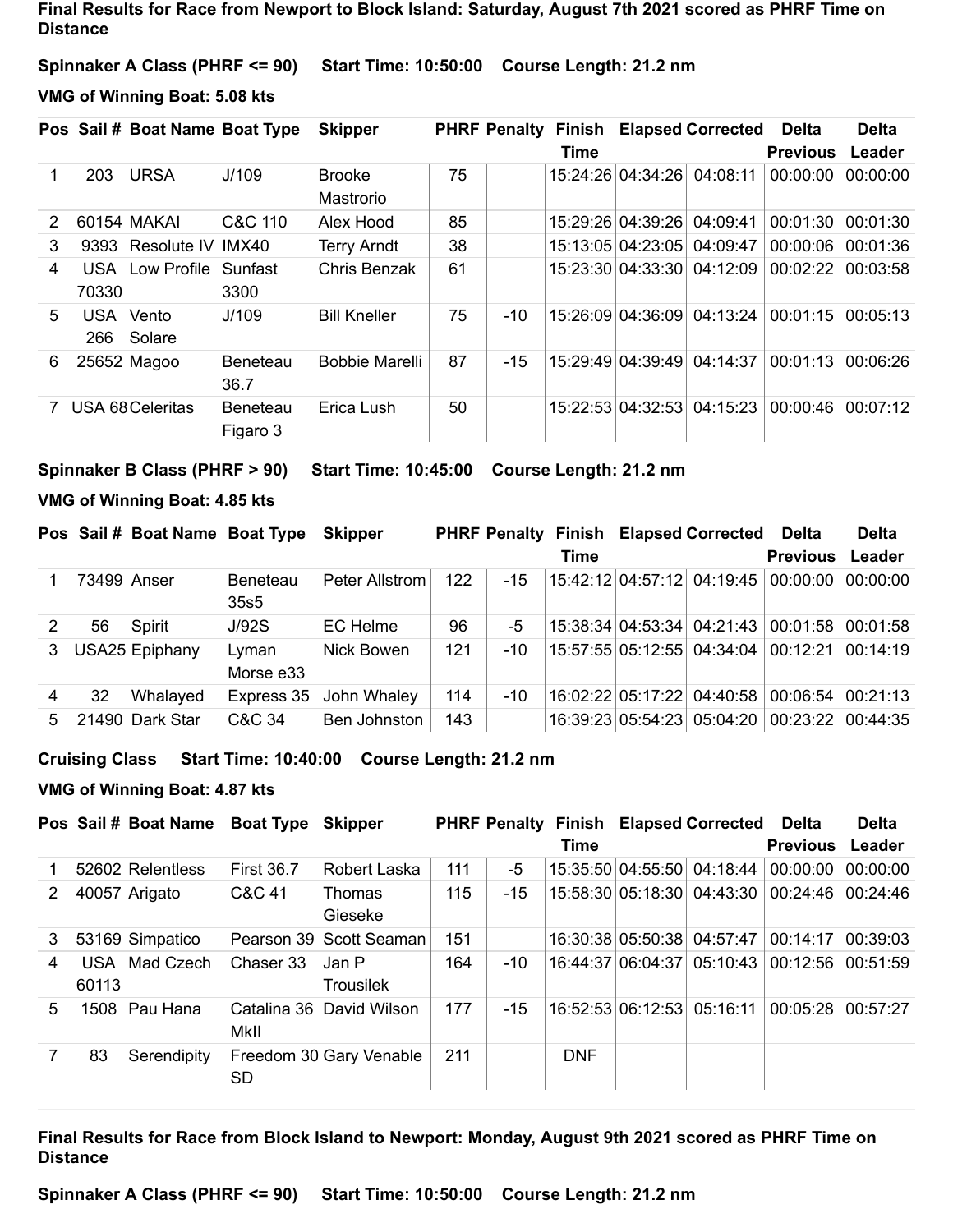**Final Results for Race from Newport to Block Island: Saturday, August 7th 2021 scored as PHRF Time on Distance**

**Spinnaker A Class (PHRF <= 90) Start Time: 10:50:00 Course Length: 21.2 nm**

**VMG of Winning Boat: 5.08 kts**

|   |       | Pos Sail # Boat Name Boat Type |                             | <b>Skipper</b>             |    | <b>PHRF Penalty</b> | Finish<br>Time |                            | <b>Elapsed Corrected</b>   | <b>Delta</b><br><b>Previous</b> | <b>Delta</b><br>Leader |
|---|-------|--------------------------------|-----------------------------|----------------------------|----|---------------------|----------------|----------------------------|----------------------------|---------------------------------|------------------------|
|   | 203   | <b>URSA</b>                    | J/109                       | <b>Brooke</b><br>Mastrorio | 75 |                     |                | 15:24:26 04:34:26 04:08:11 |                            | 00:00:00                        | 00:00:00               |
| 2 |       | 60154 MAKAI                    | C&C 110                     | Alex Hood                  | 85 |                     |                | 15:29:26 04:39:26          | 04:09:41                   | 00:01:30                        | 00:01:30               |
| 3 |       | 9393 Resolute IV               | IMX40                       | <b>Terry Arndt</b>         | 38 |                     |                | 15:13:05 04:23:05          | 04:09:47                   | 00:00:06                        | 00:01:36               |
| 4 | 70330 | <b>USA</b> Low Profile         | Sunfast<br>3300             | Chris Benzak               | 61 |                     |                |                            | 15:23:30 04:33:30 04:12:09 | 00:02:22                        | 00:03:58               |
| 5 | 266   | USA Vento<br>Solare            | J/109                       | <b>Bill Kneller</b>        | 75 | $-10$               |                | 15:26:09 04:36:09          | 04:13:24                   | 00:01:15                        | 00:05:13               |
| 6 |       | 25652 Magoo                    | Beneteau<br>36.7            | <b>Bobbie Marelli</b>      | 87 | $-15$               |                | 15:29:49 04:39:49          | 04:14:37                   | 00:01:13                        | 00:06:26               |
|   |       | USA 68 Celeritas               | <b>Beneteau</b><br>Figaro 3 | Erica Lush                 | 50 |                     |                | 15:22:53 04:32:53          | 04:15:23                   | 00:00:46                        | 00:07:12               |

**Spinnaker B Class (PHRF > 90) Start Time: 10:45:00 Course Length: 21.2 nm**

#### **VMG of Winning Boat: 4.85 kts**

|    |    | Pos Sail # Boat Name Boat Type |                         | <b>Skipper</b>         |     |       |      | <b>PHRF Penalty Finish Elapsed Corrected</b>                                         | Delta           | <b>Delta</b> |
|----|----|--------------------------------|-------------------------|------------------------|-----|-------|------|--------------------------------------------------------------------------------------|-----------------|--------------|
|    |    |                                |                         |                        |     |       | Time |                                                                                      | <b>Previous</b> | Leader       |
|    |    | 73499 Anser                    | <b>Beneteau</b><br>35s5 | Peter Allstrom         | 122 | $-15$ |      | $\vert$ 15:42:12 $\vert$ 04:57:12 $\vert$ 04:19:45 $\vert$ 00:00:00 $\vert$          |                 | 00:00:00     |
|    | 56 | Spirit                         | J/92S                   | EC Helme               | 96  | -5    |      | $\vert$ 15:38:34 $\vert$ 04:53:34 $\vert$ 04:21:43 $\vert$ 00:01:58 $\vert$ 00:01:58 |                 |              |
| 3  |    | <b>USA25 Epiphany</b>          | Lyman<br>Morse e33      | Nick Bowen             | 121 | $-10$ |      | 15:57:55 05:12:55  04:34:04   00:12:21                                               |                 | 00:14:19     |
|    | 32 | Whalayed                       |                         | Express 35 John Whaley | 114 | $-10$ |      | 16:02:22 05:17:22 04:40:58 00:06:54                                                  |                 | 00:21:13     |
| 5. |    | 21490 Dark Star                | C&C 34                  | Ben Johnston           | 143 |       |      | 16:39:23 05:54:23 05:04:20 00:23:22                                                  |                 | 00:44:35     |

#### **Cruising Class Start Time: 10:40:00 Course Length: 21.2 nm**

#### **VMG of Winning Boat: 4.87 kts**

|   |       | Pos Sail # Boat Name Boat Type Skipper |                   |                          |     |       |            | <b>PHRF Penalty Finish Elapsed Corrected Delta</b> |                 | <b>Delta</b> |
|---|-------|----------------------------------------|-------------------|--------------------------|-----|-------|------------|----------------------------------------------------|-----------------|--------------|
|   |       |                                        |                   |                          |     |       | Time       |                                                    | <b>Previous</b> | Leader       |
|   |       | 52602 Relentless                       | <b>First 36.7</b> | Robert Laska             | 111 | -5    |            | 15:35:50 04:55:50 04:18:44 00:00:00                |                 | 00:00:00     |
| 2 |       | 40057 Arigato                          | C&C 41            | <b>Thomas</b><br>Gieseke | 115 | $-15$ |            | 15:58:30 05:18:30 04:43:30 00:24:46                |                 | 00:24:46     |
| 3 |       | 53169 Simpatico                        |                   | Pearson 39 Scott Seaman  | 151 |       |            | 16:30:38 05:50:38 04:57:47                         | 00:14:17        | 00:39:03     |
| 4 | 60113 | USA Mad Czech                          | Chaser 33         | Jan P<br>Trousilek       | 164 | $-10$ |            | 16:44:37 06:04:37 05:10:43 00:12:56                |                 | 00:51:59     |
| 5 |       | 1508 Pau Hana                          | MkII              | Catalina 36 David Wilson | 177 | $-15$ |            | 16:52:53 06:12:53 05:16:11                         | 00:05:28        | 00:57:27     |
|   | 83    | Serendipity                            | SD.               | Freedom 30 Gary Venable  | 211 |       | <b>DNF</b> |                                                    |                 |              |

### **Final Results for Race from Block Island to Newport: Monday, August 9th 2021 scored as PHRF Time on Distance**